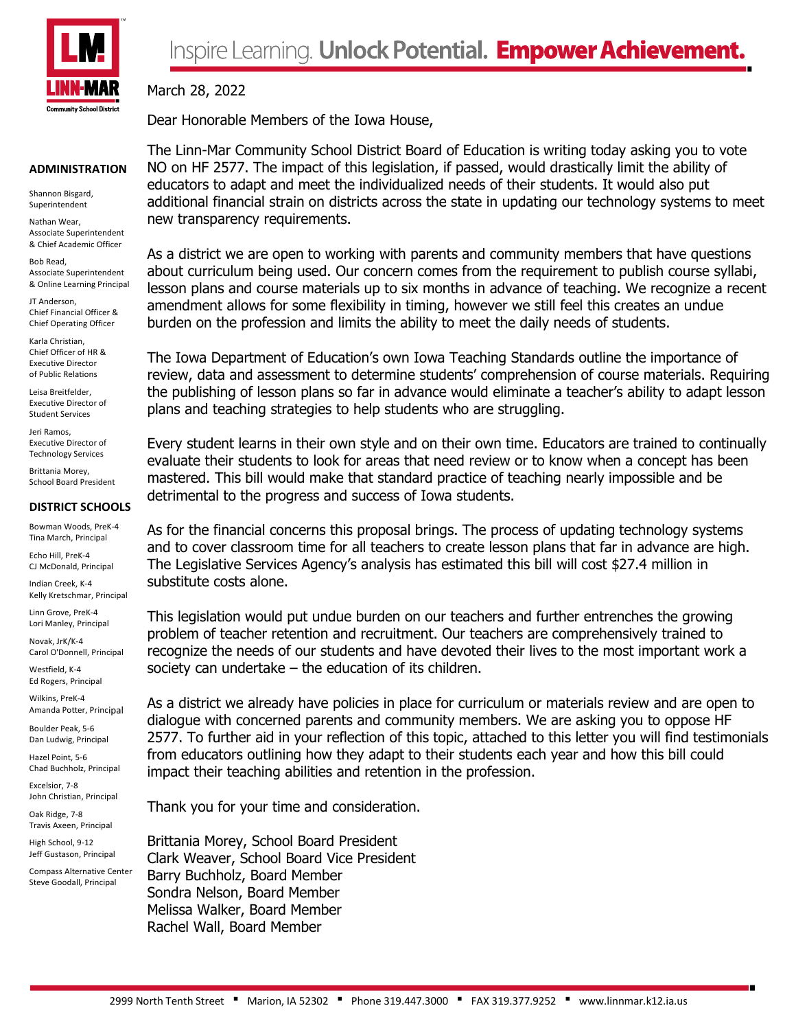

#### **ADMINISTRATION**

Shannon Bisgard, Superintendent

Nathan Wear, Associate Superintendent & Chief Academic Officer

Bob Read, Associate Superintendent & Online Learning Principal

JT Anderson, Chief Financial Officer & Chief Operating Officer

Karla Christian, Chief Officer of HR & Executive Director of Public Relations

Leisa Breitfelder, Executive Director of Student Services

Jeri Ramos, Executive Director of Technology Services

Brittania Morey, School Board President

# **DISTRICT SCHOOLS**

Bowman Woods, PreK-4 Tina March, Principal

Echo Hill, PreK-4 CJ McDonald, Principal

Indian Creek, K-4 Kelly Kretschmar, Principal

Linn Grove, PreK-4 Lori Manley, Principal

Novak, JrK/K-4 Carol O'Donnell, Principal

Westfield, K-4 Ed Rogers, Principal

Wilkins, PreK-4 Amanda Potter, Principal

Boulder Peak, 5-6 Dan Ludwig, Principal

Hazel Point, 5-6 Chad Buchholz, Principal

Excelsior, 7-8 John Christian, Principal Oak Ridge, 7-8

Travis Axeen, Principal High School, 9-12

Jeff Gustason, Principal Compass Alternative Center Steve Goodall, Principal

March 28, 2022 Dear Honorable Members of the Iowa House,

The Linn-Mar Community School District Board of Education is writing today asking you to vote NO on HF 2577. The impact of this legislation, if passed, would drastically limit the ability of educators to adapt and meet the individualized needs of their students. It would also put additional financial strain on districts across the state in updating our technology systems to meet new transparency requirements.

As a district we are open to working with parents and community members that have questions about curriculum being used. Our concern comes from the requirement to publish course syllabi, lesson plans and course materials up to six months in advance of teaching. We recognize a recent amendment allows for some flexibility in timing, however we still feel this creates an undue burden on the profession and limits the ability to meet the daily needs of students.

The Iowa Department of Education's own Iowa Teaching Standards outline the importance of review, data and assessment to determine students' comprehension of course materials. Requiring the publishing of lesson plans so far in advance would eliminate a teacher's ability to adapt lesson plans and teaching strategies to help students who are struggling.

Every student learns in their own style and on their own time. Educators are trained to continually evaluate their students to look for areas that need review or to know when a concept has been mastered. This bill would make that standard practice of teaching nearly impossible and be detrimental to the progress and success of Iowa students.

As for the financial concerns this proposal brings. The process of updating technology systems and to cover classroom time for all teachers to create lesson plans that far in advance are high. The Legislative Services Agency's analysis has estimated this bill will cost \$27.4 million in substitute costs alone.

This legislation would put undue burden on our teachers and further entrenches the growing problem of teacher retention and recruitment. Our teachers are comprehensively trained to recognize the needs of our students and have devoted their lives to the most important work a society can undertake – the education of its children.

As a district we already have policies in place for curriculum or materials review and are open to dialogue with concerned parents and community members. We are asking you to oppose HF 2577. To further aid in your reflection of this topic, attached to this letter you will find testimonials from educators outlining how they adapt to their students each year and how this bill could impact their teaching abilities and retention in the profession.

Thank you for your time and consideration.

Brittania Morey, School Board President Clark Weaver, School Board Vice President Barry Buchholz, Board Member Sondra Nelson, Board Member Melissa Walker, Board Member Rachel Wall, Board Member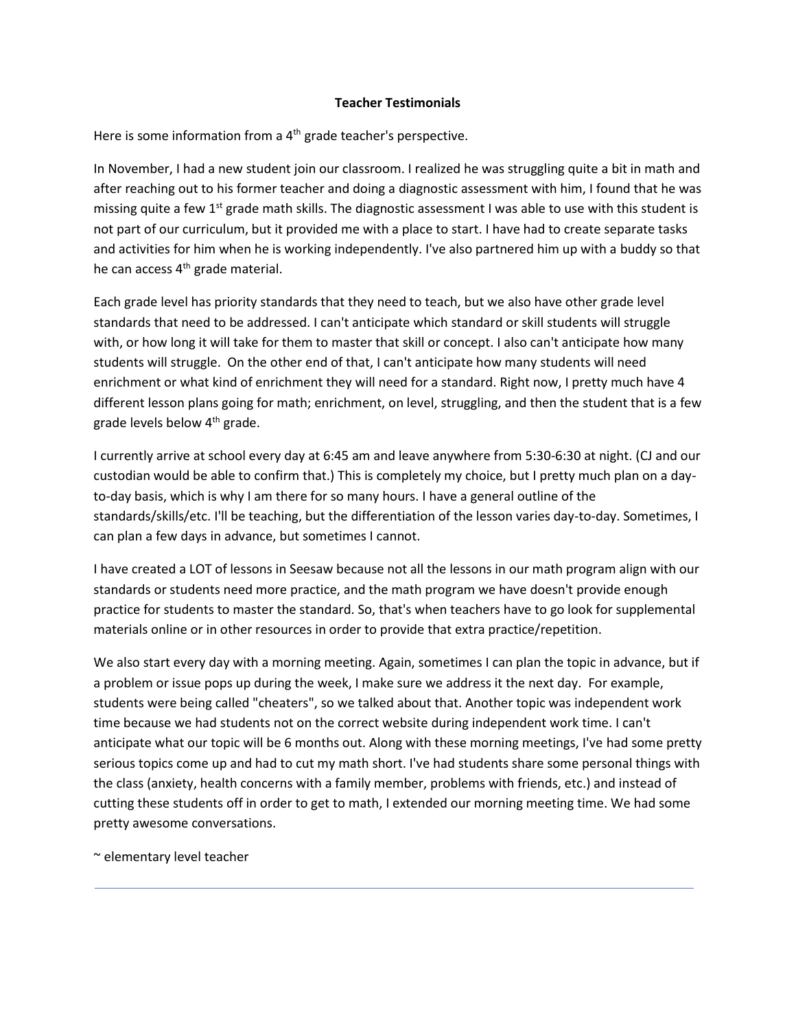## **Teacher Testimonials**

Here is some information from a  $4<sup>th</sup>$  grade teacher's perspective.

In November, I had a new student join our classroom. I realized he was struggling quite a bit in math and after reaching out to his former teacher and doing a diagnostic assessment with him, I found that he was missing quite a few 1<sup>st</sup> grade math skills. The diagnostic assessment I was able to use with this student is not part of our curriculum, but it provided me with a place to start. I have had to create separate tasks and activities for him when he is working independently. I've also partnered him up with a buddy so that he can access 4<sup>th</sup> grade material.

Each grade level has priority standards that they need to teach, but we also have other grade level standards that need to be addressed. I can't anticipate which standard or skill students will struggle with, or how long it will take for them to master that skill or concept. I also can't anticipate how many students will struggle. On the other end of that, I can't anticipate how many students will need enrichment or what kind of enrichment they will need for a standard. Right now, I pretty much have 4 different lesson plans going for math; enrichment, on level, struggling, and then the student that is a few grade levels below 4<sup>th</sup> grade.

I currently arrive at school every day at 6:45 am and leave anywhere from 5:30-6:30 at night. (CJ and our custodian would be able to confirm that.) This is completely my choice, but I pretty much plan on a dayto-day basis, which is why I am there for so many hours. I have a general outline of the standards/skills/etc. I'll be teaching, but the differentiation of the lesson varies day-to-day. Sometimes, I can plan a few days in advance, but sometimes I cannot.

I have created a LOT of lessons in Seesaw because not all the lessons in our math program align with our standards or students need more practice, and the math program we have doesn't provide enough practice for students to master the standard. So, that's when teachers have to go look for supplemental materials online or in other resources in order to provide that extra practice/repetition.

We also start every day with a morning meeting. Again, sometimes I can plan the topic in advance, but if a problem or issue pops up during the week, I make sure we address it the next day. For example, students were being called "cheaters", so we talked about that. Another topic was independent work time because we had students not on the correct website during independent work time. I can't anticipate what our topic will be 6 months out. Along with these morning meetings, I've had some pretty serious topics come up and had to cut my math short. I've had students share some personal things with the class (anxiety, health concerns with a family member, problems with friends, etc.) and instead of cutting these students off in order to get to math, I extended our morning meeting time. We had some pretty awesome conversations.

~ elementary level teacher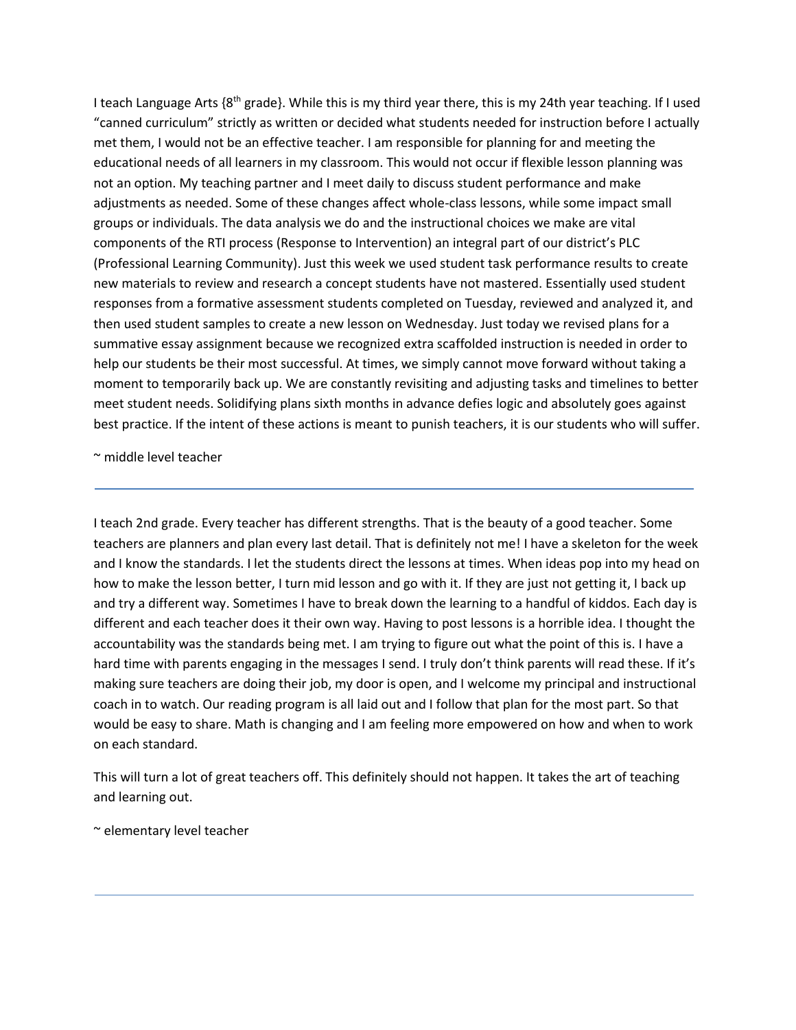I teach Language Arts  $\{8^{th}$  grade}. While this is my third year there, this is my 24th year teaching. If I used "canned curriculum" strictly as written or decided what students needed for instruction before I actually met them, I would not be an effective teacher. I am responsible for planning for and meeting the educational needs of all learners in my classroom. This would not occur if flexible lesson planning was not an option. My teaching partner and I meet daily to discuss student performance and make adjustments as needed. Some of these changes affect whole-class lessons, while some impact small groups or individuals. The data analysis we do and the instructional choices we make are vital components of the RTI process (Response to Intervention) an integral part of our district's PLC (Professional Learning Community). Just this week we used student task performance results to create new materials to review and research a concept students have not mastered. Essentially used student responses from a formative assessment students completed on Tuesday, reviewed and analyzed it, and then used student samples to create a new lesson on Wednesday. Just today we revised plans for a summative essay assignment because we recognized extra scaffolded instruction is needed in order to help our students be their most successful. At times, we simply cannot move forward without taking a moment to temporarily back up. We are constantly revisiting and adjusting tasks and timelines to better meet student needs. Solidifying plans sixth months in advance defies logic and absolutely goes against best practice. If the intent of these actions is meant to punish teachers, it is our students who will suffer.

~ middle level teacher

I teach 2nd grade. Every teacher has different strengths. That is the beauty of a good teacher. Some teachers are planners and plan every last detail. That is definitely not me! I have a skeleton for the week and I know the standards. I let the students direct the lessons at times. When ideas pop into my head on how to make the lesson better, I turn mid lesson and go with it. If they are just not getting it, I back up and try a different way. Sometimes I have to break down the learning to a handful of kiddos. Each day is different and each teacher does it their own way. Having to post lessons is a horrible idea. I thought the accountability was the standards being met. I am trying to figure out what the point of this is. I have a hard time with parents engaging in the messages I send. I truly don't think parents will read these. If it's making sure teachers are doing their job, my door is open, and I welcome my principal and instructional coach in to watch. Our reading program is all laid out and I follow that plan for the most part. So that would be easy to share. Math is changing and I am feeling more empowered on how and when to work on each standard.

This will turn a lot of great teachers off. This definitely should not happen. It takes the art of teaching and learning out.

~ elementary level teacher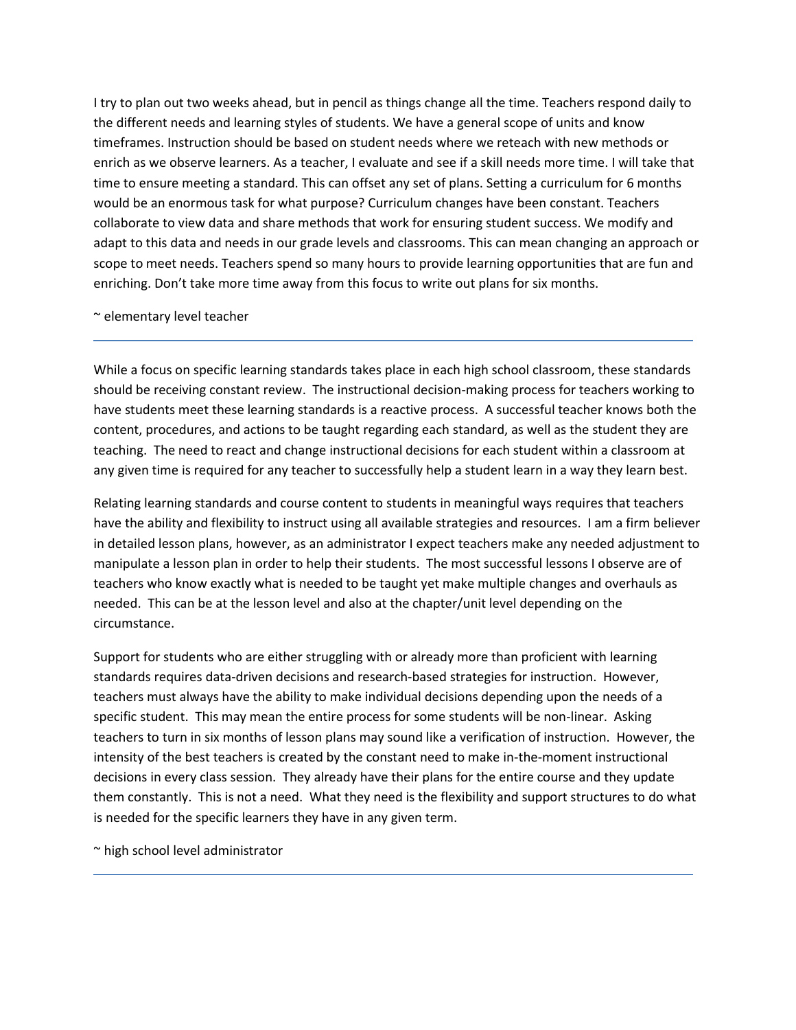I try to plan out two weeks ahead, but in pencil as things change all the time. Teachers respond daily to the different needs and learning styles of students. We have a general scope of units and know timeframes. Instruction should be based on student needs where we reteach with new methods or enrich as we observe learners. As a teacher, I evaluate and see if a skill needs more time. I will take that time to ensure meeting a standard. This can offset any set of plans. Setting a curriculum for 6 months would be an enormous task for what purpose? Curriculum changes have been constant. Teachers collaborate to view data and share methods that work for ensuring student success. We modify and adapt to this data and needs in our grade levels and classrooms. This can mean changing an approach or scope to meet needs. Teachers spend so many hours to provide learning opportunities that are fun and enriching. Don't take more time away from this focus to write out plans for six months.

### ~ elementary level teacher

While a focus on specific learning standards takes place in each high school classroom, these standards should be receiving constant review. The instructional decision-making process for teachers working to have students meet these learning standards is a reactive process. A successful teacher knows both the content, procedures, and actions to be taught regarding each standard, as well as the student they are teaching. The need to react and change instructional decisions for each student within a classroom at any given time is required for any teacher to successfully help a student learn in a way they learn best.

Relating learning standards and course content to students in meaningful ways requires that teachers have the ability and flexibility to instruct using all available strategies and resources. I am a firm believer in detailed lesson plans, however, as an administrator I expect teachers make any needed adjustment to manipulate a lesson plan in order to help their students. The most successful lessons I observe are of teachers who know exactly what is needed to be taught yet make multiple changes and overhauls as needed. This can be at the lesson level and also at the chapter/unit level depending on the circumstance.

Support for students who are either struggling with or already more than proficient with learning standards requires data-driven decisions and research-based strategies for instruction. However, teachers must always have the ability to make individual decisions depending upon the needs of a specific student. This may mean the entire process for some students will be non-linear. Asking teachers to turn in six months of lesson plans may sound like a verification of instruction. However, the intensity of the best teachers is created by the constant need to make in-the-moment instructional decisions in every class session. They already have their plans for the entire course and they update them constantly. This is not a need. What they need is the flexibility and support structures to do what is needed for the specific learners they have in any given term.

~ high school level administrator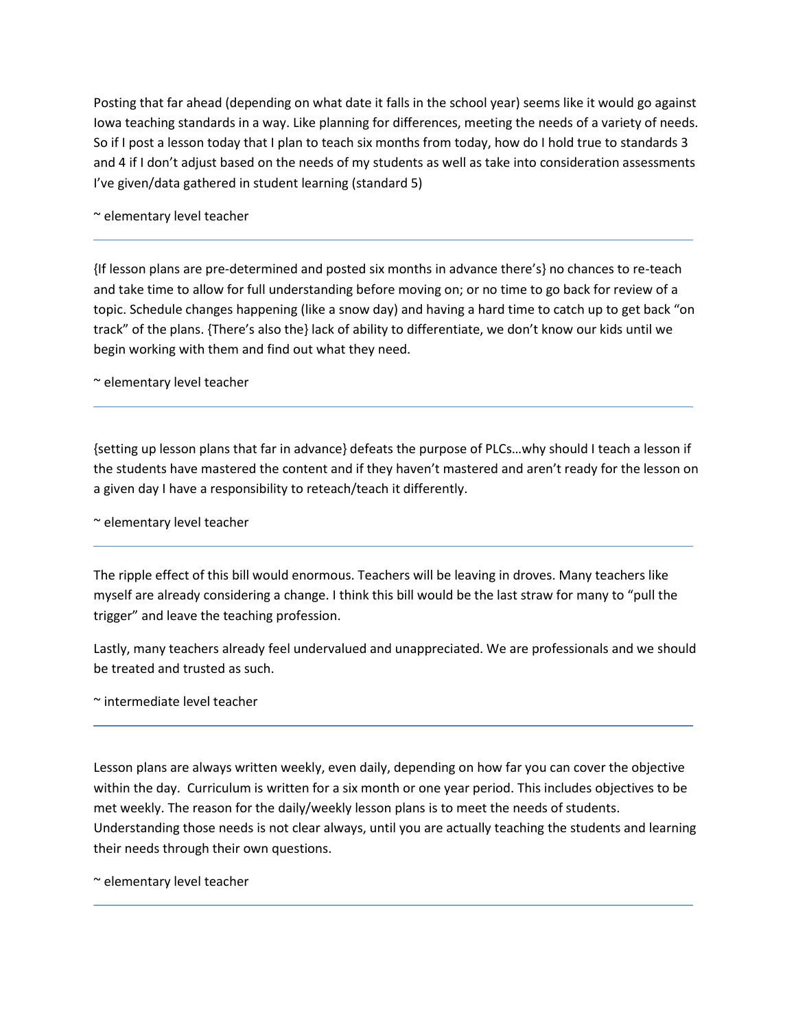Posting that far ahead (depending on what date it falls in the school year) seems like it would go against Iowa teaching standards in a way. Like planning for differences, meeting the needs of a variety of needs. So if I post a lesson today that I plan to teach six months from today, how do I hold true to standards 3 and 4 if I don't adjust based on the needs of my students as well as take into consideration assessments I've given/data gathered in student learning (standard 5)

~ elementary level teacher

{If lesson plans are pre-determined and posted six months in advance there's} no chances to re-teach and take time to allow for full understanding before moving on; or no time to go back for review of a topic. Schedule changes happening (like a snow day) and having a hard time to catch up to get back "on track" of the plans. {There's also the} lack of ability to differentiate, we don't know our kids until we begin working with them and find out what they need.

~ elementary level teacher

{setting up lesson plans that far in advance} defeats the purpose of PLCs…why should I teach a lesson if the students have mastered the content and if they haven't mastered and aren't ready for the lesson on a given day I have a responsibility to reteach/teach it differently.

~ elementary level teacher

The ripple effect of this bill would enormous. Teachers will be leaving in droves. Many teachers like myself are already considering a change. I think this bill would be the last straw for many to "pull the trigger" and leave the teaching profession.

Lastly, many teachers already feel undervalued and unappreciated. We are professionals and we should be treated and trusted as such.

~ intermediate level teacher

Lesson plans are always written weekly, even daily, depending on how far you can cover the objective within the day. Curriculum is written for a six month or one year period. This includes objectives to be met weekly. The reason for the daily/weekly lesson plans is to meet the needs of students. Understanding those needs is not clear always, until you are actually teaching the students and learning their needs through their own questions.

~ elementary level teacher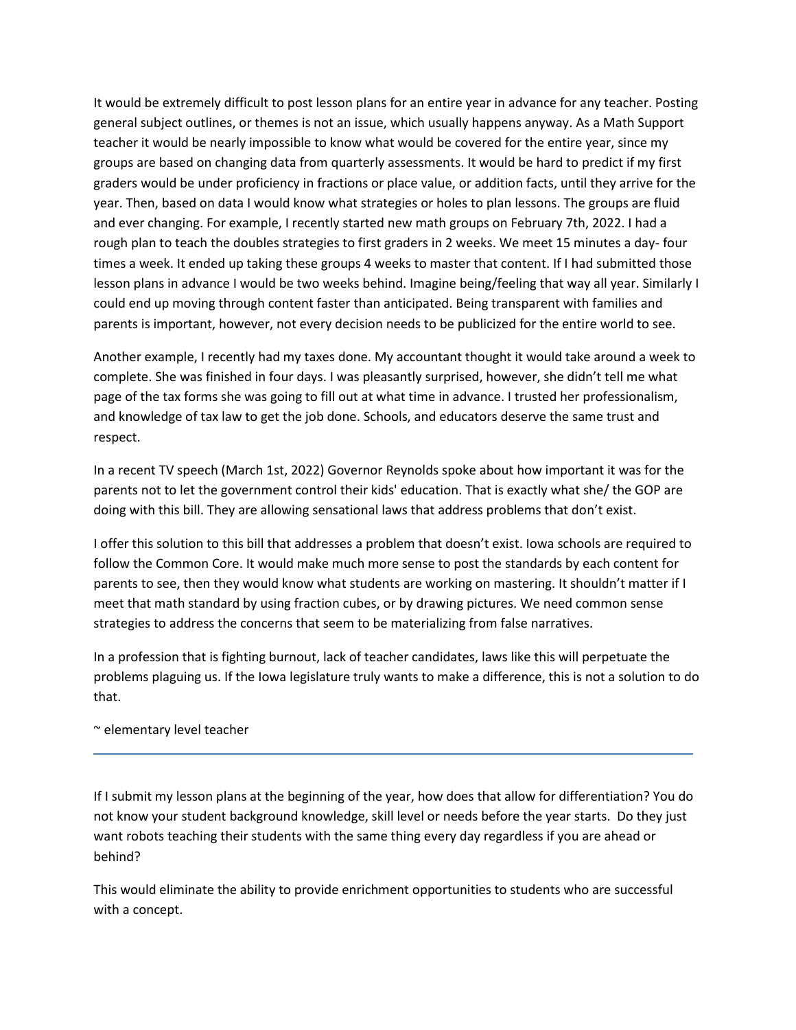It would be extremely difficult to post lesson plans for an entire year in advance for any teacher. Posting general subject outlines, or themes is not an issue, which usually happens anyway. As a Math Support teacher it would be nearly impossible to know what would be covered for the entire year, since my groups are based on changing data from quarterly assessments. It would be hard to predict if my first graders would be under proficiency in fractions or place value, or addition facts, until they arrive for the year. Then, based on data I would know what strategies or holes to plan lessons. The groups are fluid and ever changing. For example, I recently started new math groups on February 7th, 2022. I had a rough plan to teach the doubles strategies to first graders in 2 weeks. We meet 15 minutes a day- four times a week. It ended up taking these groups 4 weeks to master that content. If I had submitted those lesson plans in advance I would be two weeks behind. Imagine being/feeling that way all year. Similarly I could end up moving through content faster than anticipated. Being transparent with families and parents is important, however, not every decision needs to be publicized for the entire world to see.

Another example, I recently had my taxes done. My accountant thought it would take around a week to complete. She was finished in four days. I was pleasantly surprised, however, she didn't tell me what page of the tax forms she was going to fill out at what time in advance. I trusted her professionalism, and knowledge of tax law to get the job done. Schools, and educators deserve the same trust and respect.

In a recent TV speech (March 1st, 2022) Governor Reynolds spoke about how important it was for the parents not to let the government control their kids' education. That is exactly what she/ the GOP are doing with this bill. They are allowing sensational laws that address problems that don't exist.

I offer this solution to this bill that addresses a problem that doesn't exist. Iowa schools are required to follow the Common Core. It would make much more sense to post the standards by each content for parents to see, then they would know what students are working on mastering. It shouldn't matter if I meet that math standard by using fraction cubes, or by drawing pictures. We need common sense strategies to address the concerns that seem to be materializing from false narratives.

In a profession that is fighting burnout, lack of teacher candidates, laws like this will perpetuate the problems plaguing us. If the Iowa legislature truly wants to make a difference, this is not a solution to do that.

# ~ elementary level teacher

If I submit my lesson plans at the beginning of the year, how does that allow for differentiation? You do not know your student background knowledge, skill level or needs before the year starts. Do they just want robots teaching their students with the same thing every day regardless if you are ahead or behind?

This would eliminate the ability to provide enrichment opportunities to students who are successful with a concept.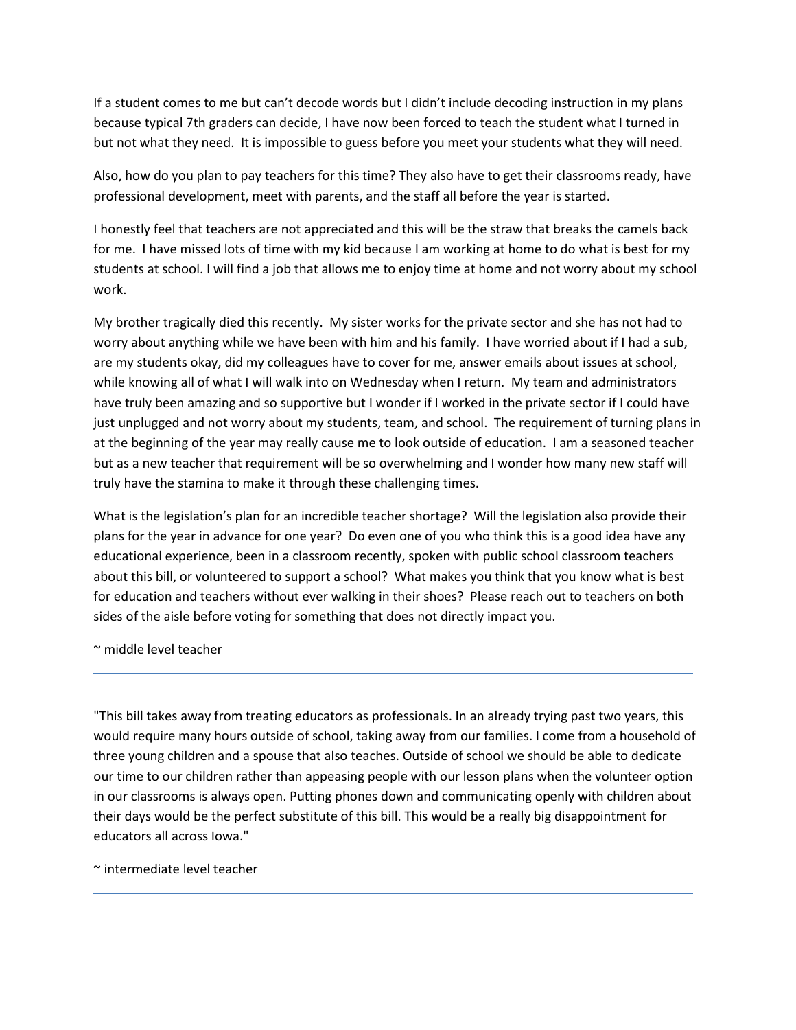If a student comes to me but can't decode words but I didn't include decoding instruction in my plans because typical 7th graders can decide, I have now been forced to teach the student what I turned in but not what they need. It is impossible to guess before you meet your students what they will need.

Also, how do you plan to pay teachers for this time? They also have to get their classrooms ready, have professional development, meet with parents, and the staff all before the year is started.

I honestly feel that teachers are not appreciated and this will be the straw that breaks the camels back for me. I have missed lots of time with my kid because I am working at home to do what is best for my students at school. I will find a job that allows me to enjoy time at home and not worry about my school work.

My brother tragically died this recently. My sister works for the private sector and she has not had to worry about anything while we have been with him and his family. I have worried about if I had a sub, are my students okay, did my colleagues have to cover for me, answer emails about issues at school, while knowing all of what I will walk into on Wednesday when I return. My team and administrators have truly been amazing and so supportive but I wonder if I worked in the private sector if I could have just unplugged and not worry about my students, team, and school. The requirement of turning plans in at the beginning of the year may really cause me to look outside of education. I am a seasoned teacher but as a new teacher that requirement will be so overwhelming and I wonder how many new staff will truly have the stamina to make it through these challenging times.

What is the legislation's plan for an incredible teacher shortage? Will the legislation also provide their plans for the year in advance for one year? Do even one of you who think this is a good idea have any educational experience, been in a classroom recently, spoken with public school classroom teachers about this bill, or volunteered to support a school? What makes you think that you know what is best for education and teachers without ever walking in their shoes? Please reach out to teachers on both sides of the aisle before voting for something that does not directly impact you.

~ middle level teacher

"This bill takes away from treating educators as professionals. In an already trying past two years, this would require many hours outside of school, taking away from our families. I come from a household of three young children and a spouse that also teaches. Outside of school we should be able to dedicate our time to our children rather than appeasing people with our lesson plans when the volunteer option in our classrooms is always open. Putting phones down and communicating openly with children about their days would be the perfect substitute of this bill. This would be a really big disappointment for educators all across Iowa."

~ intermediate level teacher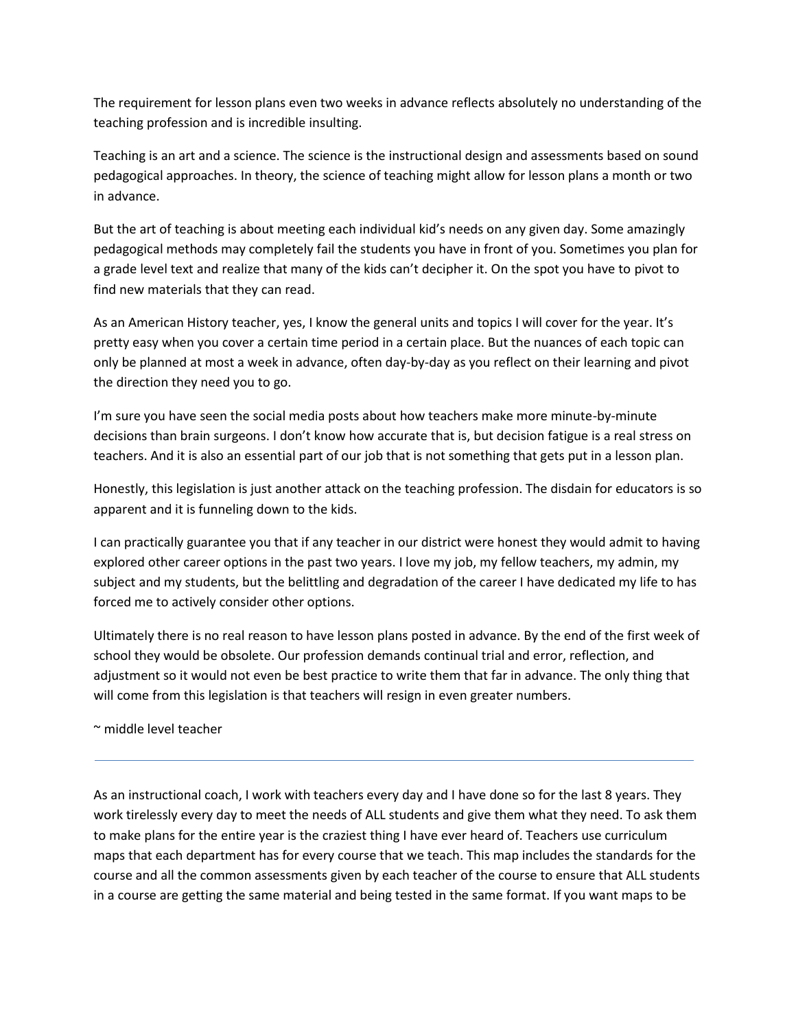The requirement for lesson plans even two weeks in advance reflects absolutely no understanding of the teaching profession and is incredible insulting.

Teaching is an art and a science. The science is the instructional design and assessments based on sound pedagogical approaches. In theory, the science of teaching might allow for lesson plans a month or two in advance.

But the art of teaching is about meeting each individual kid's needs on any given day. Some amazingly pedagogical methods may completely fail the students you have in front of you. Sometimes you plan for a grade level text and realize that many of the kids can't decipher it. On the spot you have to pivot to find new materials that they can read.

As an American History teacher, yes, I know the general units and topics I will cover for the year. It's pretty easy when you cover a certain time period in a certain place. But the nuances of each topic can only be planned at most a week in advance, often day-by-day as you reflect on their learning and pivot the direction they need you to go.

I'm sure you have seen the social media posts about how teachers make more minute-by-minute decisions than brain surgeons. I don't know how accurate that is, but decision fatigue is a real stress on teachers. And it is also an essential part of our job that is not something that gets put in a lesson plan.

Honestly, this legislation is just another attack on the teaching profession. The disdain for educators is so apparent and it is funneling down to the kids.

I can practically guarantee you that if any teacher in our district were honest they would admit to having explored other career options in the past two years. I love my job, my fellow teachers, my admin, my subject and my students, but the belittling and degradation of the career I have dedicated my life to has forced me to actively consider other options.

Ultimately there is no real reason to have lesson plans posted in advance. By the end of the first week of school they would be obsolete. Our profession demands continual trial and error, reflection, and adjustment so it would not even be best practice to write them that far in advance. The only thing that will come from this legislation is that teachers will resign in even greater numbers.

~ middle level teacher

As an instructional coach, I work with teachers every day and I have done so for the last 8 years. They work tirelessly every day to meet the needs of ALL students and give them what they need. To ask them to make plans for the entire year is the craziest thing I have ever heard of. Teachers use curriculum maps that each department has for every course that we teach. This map includes the standards for the course and all the common assessments given by each teacher of the course to ensure that ALL students in a course are getting the same material and being tested in the same format. If you want maps to be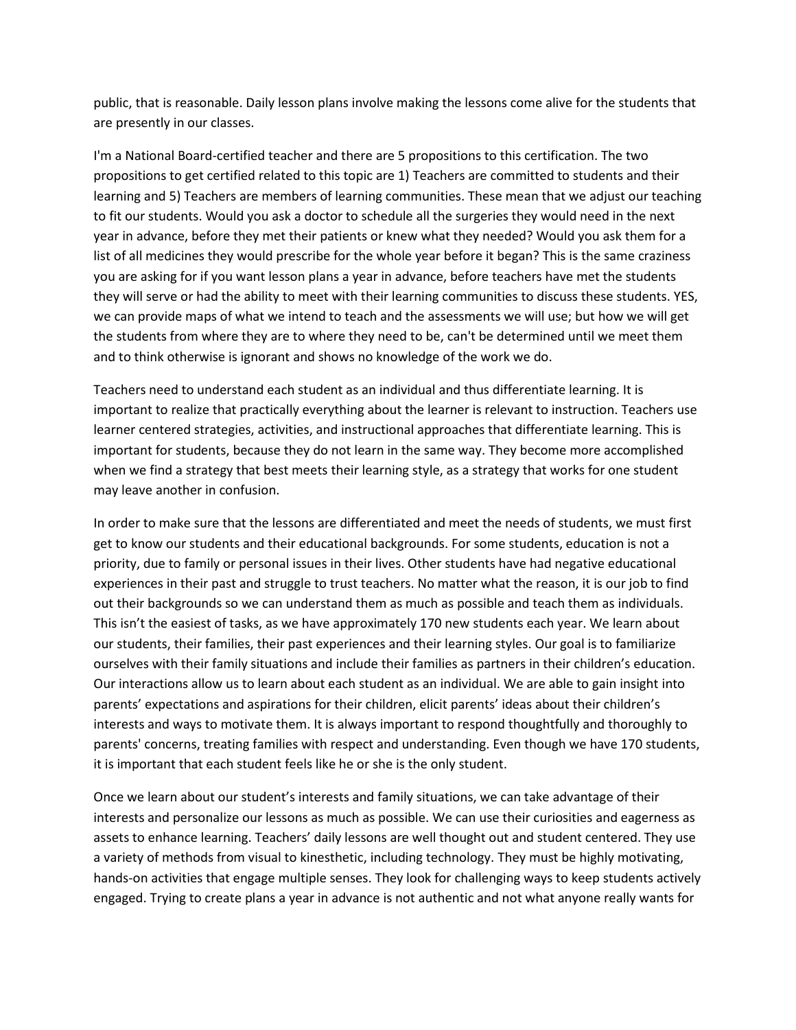public, that is reasonable. Daily lesson plans involve making the lessons come alive for the students that are presently in our classes.

I'm a National Board-certified teacher and there are 5 propositions to this certification. The two propositions to get certified related to this topic are 1) Teachers are committed to students and their learning and 5) Teachers are members of learning communities. These mean that we adjust our teaching to fit our students. Would you ask a doctor to schedule all the surgeries they would need in the next year in advance, before they met their patients or knew what they needed? Would you ask them for a list of all medicines they would prescribe for the whole year before it began? This is the same craziness you are asking for if you want lesson plans a year in advance, before teachers have met the students they will serve or had the ability to meet with their learning communities to discuss these students. YES, we can provide maps of what we intend to teach and the assessments we will use; but how we will get the students from where they are to where they need to be, can't be determined until we meet them and to think otherwise is ignorant and shows no knowledge of the work we do.

Teachers need to understand each student as an individual and thus differentiate learning. It is important to realize that practically everything about the learner is relevant to instruction. Teachers use learner centered strategies, activities, and instructional approaches that differentiate learning. This is important for students, because they do not learn in the same way. They become more accomplished when we find a strategy that best meets their learning style, as a strategy that works for one student may leave another in confusion.

In order to make sure that the lessons are differentiated and meet the needs of students, we must first get to know our students and their educational backgrounds. For some students, education is not a priority, due to family or personal issues in their lives. Other students have had negative educational experiences in their past and struggle to trust teachers. No matter what the reason, it is our job to find out their backgrounds so we can understand them as much as possible and teach them as individuals. This isn't the easiest of tasks, as we have approximately 170 new students each year. We learn about our students, their families, their past experiences and their learning styles. Our goal is to familiarize ourselves with their family situations and include their families as partners in their children's education. Our interactions allow us to learn about each student as an individual. We are able to gain insight into parents' expectations and aspirations for their children, elicit parents' ideas about their children's interests and ways to motivate them. It is always important to respond thoughtfully and thoroughly to parents' concerns, treating families with respect and understanding. Even though we have 170 students, it is important that each student feels like he or she is the only student.

Once we learn about our student's interests and family situations, we can take advantage of their interests and personalize our lessons as much as possible. We can use their curiosities and eagerness as assets to enhance learning. Teachers' daily lessons are well thought out and student centered. They use a variety of methods from visual to kinesthetic, including technology. They must be highly motivating, hands-on activities that engage multiple senses. They look for challenging ways to keep students actively engaged. Trying to create plans a year in advance is not authentic and not what anyone really wants for